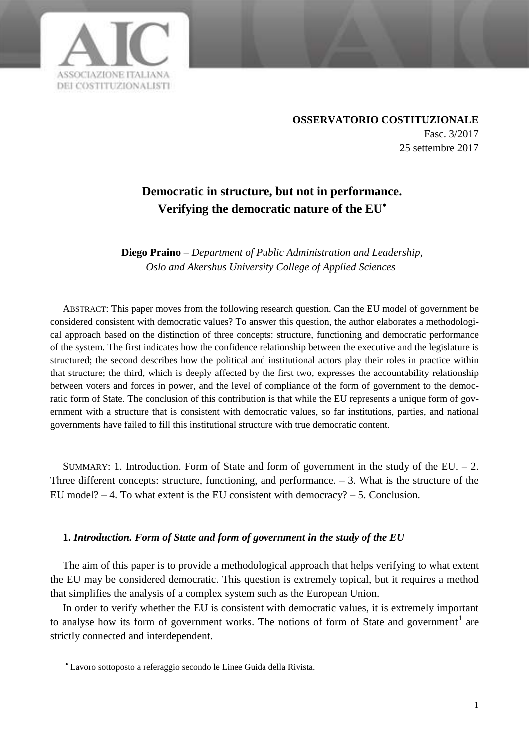

**OSSERVATORIO COSTITUZIONALE** Fasc. 3/2017 25 settembre 2017

# **Democratic in structure, but not in performance. Verifying the democratic nature of the EU**

**Diego Praino** *– Department of Public Administration and Leadership, Oslo and Akershus University College of Applied Sciences*

ABSTRACT: This paper moves from the following research question. Can the EU model of government be considered consistent with democratic values? To answer this question, the author elaborates a methodological approach based on the distinction of three concepts: structure, functioning and democratic performance of the system. The first indicates how the confidence relationship between the executive and the legislature is structured; the second describes how the political and institutional actors play their roles in practice within that structure; the third, which is deeply affected by the first two, expresses the accountability relationship between voters and forces in power, and the level of compliance of the form of government to the democratic form of State. The conclusion of this contribution is that while the EU represents a unique form of government with a structure that is consistent with democratic values, so far institutions, parties, and national governments have failed to fill this institutional structure with true democratic content.

SUMMARY: 1. Introduction. Form of State and form of government in the study of the EU.  $- 2$ . Three different concepts: structure, functioning, and performance.  $-3$ . What is the structure of the EU model?  $-4$ . To what extent is the EU consistent with democracy?  $-5$ . Conclusion.

#### **1.** *Introduction. Form of State and form of government in the study of the EU*

The aim of this paper is to provide a methodological approach that helps verifying to what extent the EU may be considered democratic. This question is extremely topical, but it requires a method that simplifies the analysis of a complex system such as the European Union.

In order to verify whether the EU is consistent with democratic values, it is extremely important to analyse how its form of government works. The notions of form of State and government<sup>1</sup> are strictly connected and interdependent.

Lavoro sottoposto a referaggio secondo le Linee Guida della Rivista.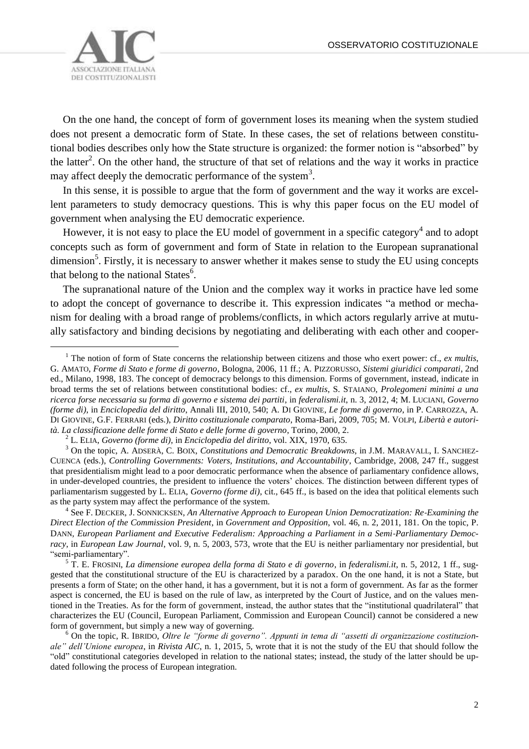

 $\overline{a}$ 

On the one hand, the concept of form of government loses its meaning when the system studied does not present a democratic form of State. In these cases, the set of relations between constitutional bodies describes only how the State structure is organized: the former notion is "absorbed" by the latter<sup>2</sup>. On the other hand, the structure of that set of relations and the way it works in practice may affect deeply the democratic performance of the system<sup>3</sup>.

In this sense, it is possible to argue that the form of government and the way it works are excellent parameters to study democracy questions. This is why this paper focus on the EU model of government when analysing the EU democratic experience.

However, it is not easy to place the EU model of government in a specific category<sup>4</sup> and to adopt concepts such as form of government and form of State in relation to the European supranational dimension<sup>5</sup>. Firstly, it is necessary to answer whether it makes sense to study the EU using concepts that belong to the national States<sup>6</sup>.

The supranational nature of the Union and the complex way it works in practice have led some to adopt the concept of governance to describe it. This expression indicates "a method or mechanism for dealing with a broad range of problems/conflicts, in which actors regularly arrive at mutually satisfactory and binding decisions by negotiating and deliberating with each other and cooper-

4 See F. DECKER, J. SONNICKSEN, *An Alternative Approach to European Union Democratization: Re‐Examining the Direct Election of the Commission President*, in *Government and Opposition*, vol. 46, n. 2, 2011, 181. On the topic, P. DANN, *European Parliament and Executive Federalism: Approaching a Parliament in a Semi‐Parliamentary Democracy*, in *European Law Journal*, vol. 9, n. 5, 2003, 573, wrote that the EU is neither parliamentary nor presidential, but "semi-parliamentary".

<sup>&</sup>lt;sup>1</sup> The notion of form of State concerns the relationship between citizens and those who exert power: cf., *ex multis*, G. AMATO, *Forme di Stato e forme di governo*, Bologna, 2006, 11 ff.; A. PIZZORUSSO, *Sistemi giuridici comparati*, 2nd ed., Milano, 1998, 183. The concept of democracy belongs to this dimension. Forms of government, instead, indicate in broad terms the set of relations between constitutional bodies: cf., *ex multis*, S. STAIANO, *Prolegomeni minimi a una ricerca forse necessaria su forma di governo e sistema dei partiti*, in *federalismi.it*, n. 3, 2012, 4; M. LUCIANI, *Governo (forme di)*, in *Enciclopedia del diritto*, Annali III, 2010, 540; A. DI GIOVINE, *Le forme di governo*, in P. CARROZZA, A. DI GIOVINE, G.F. FERRARI (eds.), *Diritto costituzionale comparato*, Roma-Bari, 2009, 705; M. VOLPI, *Libertà e autorità. La classificazione delle forme di Stato e delle forme di governo*, Torino, 2000, 2.

<sup>2</sup> L. ELIA, *Governo (forme di)*, in *Enciclopedia del diritto*, vol. XIX, 1970, 635.

<sup>3</sup> On the topic, A. ADSERÀ, C. BOIX, *Constitutions and Democratic Breakdowns*, in J.M. MARAVALL, I. SANCHEZ-CUENCA (eds.), *Controlling Governments: Voters, Institutions, and Accountability*, Cambridge, 2008, 247 ff., suggest that presidentialism might lead to a poor democratic performance when the absence of parliamentary confidence allows, in under-developed countries, the president to influence the voters' choices. The distinction between different types of parliamentarism suggested by L. ELIA, *Governo (forme di)*, cit., 645 ff., is based on the idea that political elements such as the party system may affect the performance of the system.

<sup>5</sup> T. E. FROSINI, *La dimensione europea della forma di Stato e di governo*, in *federalismi.it*, n. 5, 2012, 1 ff., suggested that the constitutional structure of the EU is characterized by a paradox. On the one hand, it is not a State, but presents a form of State; on the other hand, it has a government, but it is not a form of government. As far as the former aspect is concerned, the EU is based on the rule of law, as interpreted by the Court of Justice, and on the values mentioned in the Treaties. As for the form of government, instead, the author states that the "institutional quadrilateral" that characterizes the EU (Council, European Parliament, Commission and European Council) cannot be considered a new form of government, but simply a new way of governing.

<sup>6</sup> On the topic, R. IBRIDO, *Oltre le "forme di governo". Appunti in tema di "assetti di organizzazione costituzionale" dell'Unione europea*, in *Rivista AIC*, n. 1, 2015, 5, wrote that it is not the study of the EU that should follow the "old" constitutional categories developed in relation to the national states; instead, the study of the latter should be updated following the process of European integration.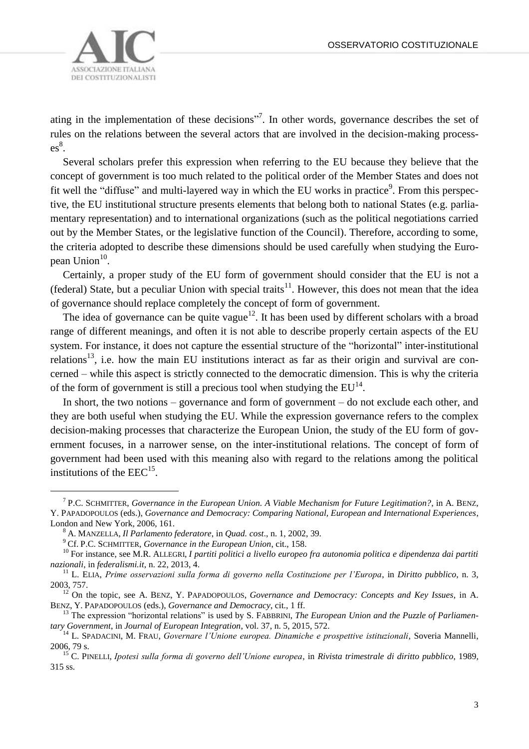

ating in the implementation of these decisions"<sup>7</sup>. In other words, governance describes the set of rules on the relations between the several actors that are involved in the decision-making process- $\mathsf{es}^8$ .

Several scholars prefer this expression when referring to the EU because they believe that the concept of government is too much related to the political order of the Member States and does not fit well the "diffuse" and multi-layered way in which the EU works in practice<sup>9</sup>. From this perspective, the EU institutional structure presents elements that belong both to national States (e.g. parliamentary representation) and to international organizations (such as the political negotiations carried out by the Member States, or the legislative function of the Council). Therefore, according to some, the criteria adopted to describe these dimensions should be used carefully when studying the European Union<sup>10</sup>.

Certainly, a proper study of the EU form of government should consider that the EU is not a (federal) State, but a peculiar Union with special traits<sup>11</sup>. However, this does not mean that the idea of governance should replace completely the concept of form of government.

The idea of governance can be quite vague<sup>12</sup>. It has been used by different scholars with a broad range of different meanings, and often it is not able to describe properly certain aspects of the EU system. For instance, it does not capture the essential structure of the "horizontal" inter-institutional relations<sup>13</sup>, i.e. how the main EU institutions interact as far as their origin and survival are concerned – while this aspect is strictly connected to the democratic dimension. This is why the criteria of the form of government is still a precious tool when studying the  $EU^{14}$ .

In short, the two notions – governance and form of government – do not exclude each other, and they are both useful when studying the EU. While the expression governance refers to the complex decision-making processes that characterize the European Union, the study of the EU form of government focuses, in a narrower sense, on the inter-institutional relations. The concept of form of government had been used with this meaning also with regard to the relations among the political institutions of the  $EEC^{15}$ .

<sup>7</sup> P.C. SCHMITTER, *Governance in the European Union. A Viable Mechanism for Future Legitimation?*, in A. BENZ, Y. PAPADOPOULOS (eds.), *Governance and Democracy: Comparing National, European and International Experiences*, London and New York, 2006, 161.

<sup>8</sup> A. MANZELLA, *Il Parlamento federatore*, in *Quad. cost*., n. 1, 2002, 39.

<sup>9</sup> Cf. P.C. SCHMITTER, *Governance in the European Union*, cit., 158.

<sup>&</sup>lt;sup>10</sup> For instance, see M.R. ALLEGRI, *I partiti politici a livello europeo fra autonomia politica e dipendenza dai partiti nazionali*, in *federalismi.it*, n. 22, 2013, 4.

<sup>11</sup> L. ELIA, *Prime osservazioni sulla forma di governo nella Costituzione per l'Europa*, in *Diritto pubblico*, n. 3, 2003, 757.

<sup>12</sup> On the topic, see A. BENZ, Y. PAPADOPOULOS, *Governance and Democracy: Concepts and Key Issues*, in A. BENZ, Y. PAPADOPOULOS (eds.), *Governance and Democracy*, cit., 1 ff.

<sup>&</sup>lt;sup>13</sup> The expression "horizontal relations" is used by S. FABBRINI, *The European Union and the Puzzle of Parliamentary Government*, in *Journal of European Integration*, vol. 37, n. 5, 2015, 572.

<sup>&</sup>lt;sup>14</sup> L. SPADACINI, M. FRAU, *Governare l'Unione europea. Dinamiche e prospettive istituzionali*, Soveria Mannelli, 2006, 79 s.

<sup>15</sup> C. PINELLI, *Ipotesi sulla forma di governo dell'Unione europea*, in *Rivista trimestrale di diritto pubblico*, 1989, 315 ss.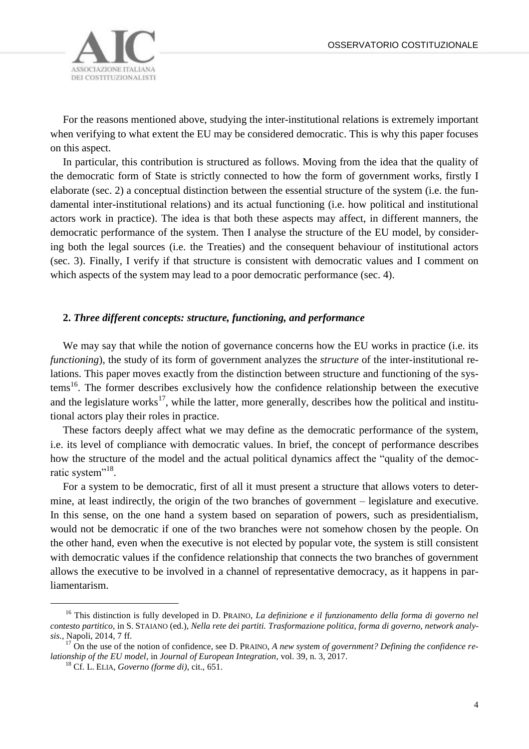

For the reasons mentioned above, studying the inter-institutional relations is extremely important when verifying to what extent the EU may be considered democratic. This is why this paper focuses on this aspect.

In particular, this contribution is structured as follows. Moving from the idea that the quality of the democratic form of State is strictly connected to how the form of government works, firstly I elaborate (sec. 2) a conceptual distinction between the essential structure of the system (i.e. the fundamental inter-institutional relations) and its actual functioning (i.e. how political and institutional actors work in practice). The idea is that both these aspects may affect, in different manners, the democratic performance of the system. Then I analyse the structure of the EU model, by considering both the legal sources (i.e. the Treaties) and the consequent behaviour of institutional actors (sec. 3). Finally, I verify if that structure is consistent with democratic values and I comment on which aspects of the system may lead to a poor democratic performance (sec. 4).

#### **2.** *Three different concepts: structure, functioning, and performance*

We may say that while the notion of governance concerns how the EU works in practice (i.e. its *functioning*), the study of its form of government analyzes the *structure* of the inter-institutional relations. This paper moves exactly from the distinction between structure and functioning of the systems<sup>16</sup>. The former describes exclusively how the confidence relationship between the executive and the legislature works<sup>17</sup>, while the latter, more generally, describes how the political and institutional actors play their roles in practice.

These factors deeply affect what we may define as the democratic performance of the system, i.e. its level of compliance with democratic values. In brief, the concept of performance describes how the structure of the model and the actual political dynamics affect the "quality of the democratic system"<sup>18</sup>.

For a system to be democratic, first of all it must present a structure that allows voters to determine, at least indirectly, the origin of the two branches of government – legislature and executive. In this sense, on the one hand a system based on separation of powers, such as presidentialism, would not be democratic if one of the two branches were not somehow chosen by the people. On the other hand, even when the executive is not elected by popular vote, the system is still consistent with democratic values if the confidence relationship that connects the two branches of government allows the executive to be involved in a channel of representative democracy, as it happens in parliamentarism.

<sup>&</sup>lt;sup>16</sup> This distinction is fully developed in D. PRAINO, *La definizione e il funzionamento della forma di governo nel contesto partitico*, in S. STAIANO (ed.), *Nella rete dei partiti. Trasformazione politica, forma di governo, network analysis.*, Napoli, 2014, 7 ff.

<sup>&</sup>lt;sup>17</sup> On the use of the notion of confidence, see D. PRAINO, *A new system of government? Defining the confidence relationship of the EU model*, in *Journal of European Integration*, vol. 39, n. 3, 2017.

<sup>18</sup> Cf. L. ELIA, *Governo (forme di)*, cit., 651.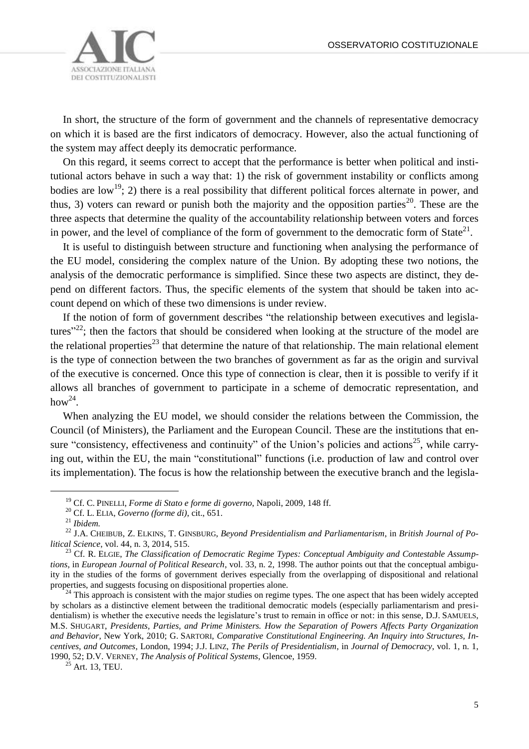

In short, the structure of the form of government and the channels of representative democracy on which it is based are the first indicators of democracy. However, also the actual functioning of the system may affect deeply its democratic performance.

On this regard, it seems correct to accept that the performance is better when political and institutional actors behave in such a way that: 1) the risk of government instability or conflicts among bodies are low<sup>19</sup>; 2) there is a real possibility that different political forces alternate in power, and thus, 3) voters can reward or punish both the majority and the opposition parties<sup>20</sup>. These are the three aspects that determine the quality of the accountability relationship between voters and forces in power, and the level of compliance of the form of government to the democratic form of State<sup>21</sup>.

It is useful to distinguish between structure and functioning when analysing the performance of the EU model, considering the complex nature of the Union. By adopting these two notions, the analysis of the democratic performance is simplified. Since these two aspects are distinct, they depend on different factors. Thus, the specific elements of the system that should be taken into account depend on which of these two dimensions is under review.

If the notion of form of government describes "the relationship between executives and legislatures<sup> $22$ </sup>; then the factors that should be considered when looking at the structure of the model are the relational properties<sup>23</sup> that determine the nature of that relationship. The main relational element is the type of connection between the two branches of government as far as the origin and survival of the executive is concerned. Once this type of connection is clear, then it is possible to verify if it allows all branches of government to participate in a scheme of democratic representation, and how $^{24}$ .

When analyzing the EU model, we should consider the relations between the Commission, the Council (of Ministers), the Parliament and the European Council. These are the institutions that ensure "consistency, effectiveness and continuity" of the Union's policies and actions<sup>25</sup>, while carrying out, within the EU, the main "constitutional" functions (i.e. production of law and control over its implementation). The focus is how the relationship between the executive branch and the legisla-

 $\overline{a}$ 

<sup>24</sup> This approach is consistent with the major studies on regime types. The one aspect that has been widely accepted by scholars as a distinctive element between the traditional democratic models (especially parliamentarism and presidentialism) is whether the executive needs the legislature's trust to remain in office or not: in this sense, D.J. SAMUELS, M.S. SHUGART, *Presidents, Parties, and Prime Ministers. How the Separation of Powers Affects Party Organization and Behavior*, New York, 2010; G. SARTORI, *Comparative Constitutional Engineering. An Inquiry into Structures, Incentives, and Outcomes*, London, 1994; J.J. LINZ, *The Perils of Presidentialism*, in *Journal of Democracy*, vol. 1, n. 1, 1990, 52; D.V. VERNEY, *The Analysis of Political Systems*, Glencoe, 1959.

<sup>19</sup> Cf. C. PINELLI, *Forme di Stato e forme di governo*, Napoli, 2009, 148 ff.

<sup>20</sup> Cf. L. ELIA, *Governo (forme di)*, cit., 651.

<sup>21</sup> *Ibidem.*

<sup>22</sup> J.A. CHEIBUB, Z. ELKINS, T. GINSBURG, *Beyond Presidentialism and Parliamentarism*, in *British Journal of Political Science*, vol. 44, n. 3, 2014, 515.

<sup>&</sup>lt;sup>23</sup> Cf. R. ELGIE, *The Classification of Democratic Regime Types: Conceptual Ambiguity and Contestable Assumptions*, in *European Journal of Political Research*, vol. 33, n. 2, 1998. The author points out that the conceptual ambiguity in the studies of the forms of government derives especially from the overlapping of dispositional and relational properties, and suggests focusing on dispositional properties alone.

 $^{25}$  Art. 13, TEU.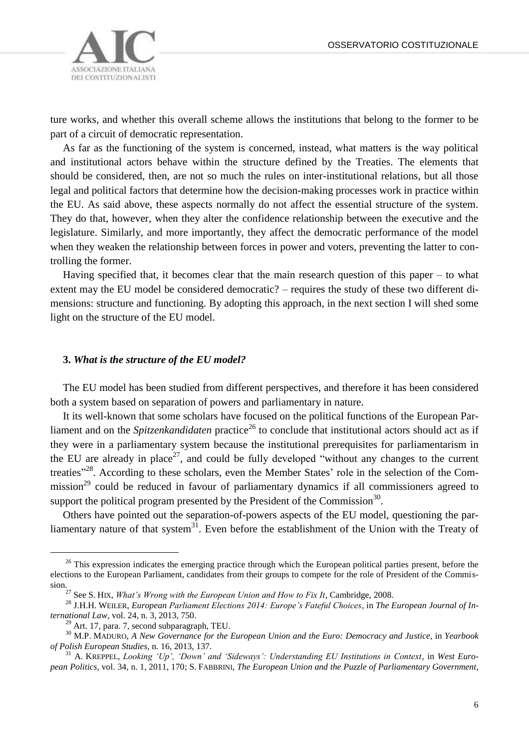

ture works, and whether this overall scheme allows the institutions that belong to the former to be part of a circuit of democratic representation.

As far as the functioning of the system is concerned, instead, what matters is the way political and institutional actors behave within the structure defined by the Treaties. The elements that should be considered, then, are not so much the rules on inter-institutional relations, but all those legal and political factors that determine how the decision-making processes work in practice within the EU. As said above, these aspects normally do not affect the essential structure of the system. They do that, however, when they alter the confidence relationship between the executive and the legislature. Similarly, and more importantly, they affect the democratic performance of the model when they weaken the relationship between forces in power and voters, preventing the latter to controlling the former.

Having specified that, it becomes clear that the main research question of this paper – to what extent may the EU model be considered democratic? – requires the study of these two different dimensions: structure and functioning. By adopting this approach, in the next section I will shed some light on the structure of the EU model.

#### **3.** *What is the structure of the EU model?*

The EU model has been studied from different perspectives, and therefore it has been considered both a system based on separation of powers and parliamentary in nature.

It its well-known that some scholars have focused on the political functions of the European Parliament and on the *Spitzenkandidaten* practice<sup>26</sup> to conclude that institutional actors should act as if they were in a parliamentary system because the institutional prerequisites for parliamentarism in the EU are already in place<sup>27</sup>, and could be fully developed "without any changes to the current treaties"<sup>28</sup>. According to these scholars, even the Member States' role in the selection of the Commission<sup>29</sup> could be reduced in favour of parliamentary dynamics if all commissioners agreed to support the political program presented by the President of the Commission<sup>30</sup>.

Others have pointed out the separation-of-powers aspects of the EU model, questioning the parliamentary nature of that system<sup>31</sup>. Even before the establishment of the Union with the Treaty of

<sup>&</sup>lt;sup>26</sup> This expression indicates the emerging practice through which the European political parties present, before the elections to the European Parliament, candidates from their groups to compete for the role of President of the Commission.

<sup>27</sup> See S. HIX, *What's Wrong with the European Union and How to Fix It*, Cambridge, 2008.

<sup>28</sup> J.H.H. WEILER, *European Parliament Elections 2014: Europe's Fateful Choices*, in *The European Journal of International Law*, vol. 24, n. 3, 2013, 750.

<sup>&</sup>lt;sup>29</sup> Art. 17, para. 7, second subparagraph, TEU.

<sup>30</sup> M.P. MADURO, *A New Governance for the European Union and the Euro: Democracy and Justice*, in *Yearbook of Polish European Studies*, n. 16, 2013, 137.

<sup>31</sup> A. KREPPEL, *Looking 'Up', 'Down' and 'Sideways': Understanding EU Institutions in Context*, in *West European Politics*, vol. 34, n. 1, 2011, 170; S. FABBRINI, *The European Union and the Puzzle of Parliamentary Government*,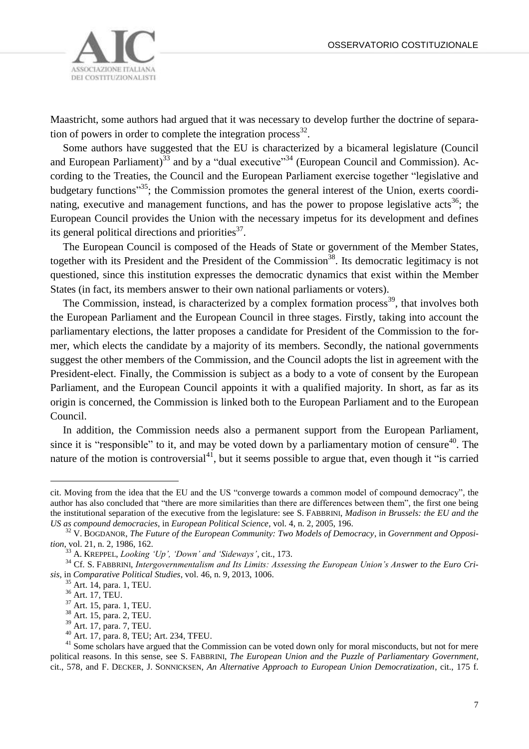

Maastricht, some authors had argued that it was necessary to develop further the doctrine of separation of powers in order to complete the integration process<sup>32</sup>.

Some authors have suggested that the EU is characterized by a bicameral legislature (Council and European Parliament)<sup>33</sup> and by a "dual executive"<sup>34</sup> (European Council and Commission). According to the Treaties, the Council and the European Parliament exercise together "legislative and budgetary functions<sup>355</sup>; the Commission promotes the general interest of the Union, exerts coordinating, executive and management functions, and has the power to propose legislative acts<sup>36</sup>; the European Council provides the Union with the necessary impetus for its development and defines its general political directions and priorities $37$ .

The European Council is composed of the Heads of State or government of the Member States, together with its President and the President of the Commission<sup>38</sup>. Its democratic legitimacy is not questioned, since this institution expresses the democratic dynamics that exist within the Member States (in fact, its members answer to their own national parliaments or voters).

The Commission, instead, is characterized by a complex formation process<sup>39</sup>, that involves both the European Parliament and the European Council in three stages. Firstly, taking into account the parliamentary elections, the latter proposes a candidate for President of the Commission to the former, which elects the candidate by a majority of its members. Secondly, the national governments suggest the other members of the Commission, and the Council adopts the list in agreement with the President-elect. Finally, the Commission is subject as a body to a vote of consent by the European Parliament, and the European Council appoints it with a qualified majority. In short, as far as its origin is concerned, the Commission is linked both to the European Parliament and to the European Council.

In addition, the Commission needs also a permanent support from the European Parliament, since it is "responsible" to it, and may be voted down by a parliamentary motion of censure<sup>40</sup>. The nature of the motion is controversial<sup>41</sup>, but it seems possible to argue that, even though it "is carried

cit. Moving from the idea that the EU and the US "converge towards a common model of compound democracy", the author has also concluded that "there are more similarities than there are differences between them", the first one being the institutional separation of the executive from the legislature: see S. FABBRINI, *Madison in Brussels: the EU and the US as compound democracies*, in *European Political Science*, vol. 4, n. 2, 2005, 196.

<sup>32</sup> V. BOGDANOR, *The Future of the European Community: Two Models of Democracy*, in *Government and Opposition*, vol. 21, n. 2, 1986, 162.

<sup>33</sup> A. KREPPEL, *Looking 'Up', 'Down' and 'Sideways'*, cit., 173.

<sup>34</sup> Cf. S. FABBRINI, *Intergovernmentalism and Its Limits: Assessing the European Union's Answer to the Euro Crisis*, in *Comparative Political Studies*, vol. 46, n. 9, 2013, 1006.

 $rac{35}{35}$  Art. 14, para. 1, TEU.

<sup>36</sup> Art. 17, TEU.

 $37$  Art. 15, para. 1, TEU.

<sup>38</sup> Art. 15, para. 2, TEU.

<sup>39</sup> Art. 17, para. 7, TEU.

<sup>40</sup> Art. 17, para. 8, TEU; Art. 234, TFEU.

<sup>&</sup>lt;sup>41</sup> Some scholars have argued that the Commission can be voted down only for moral misconducts, but not for mere political reasons. In this sense, see S. FABBRINI, *The European Union and the Puzzle of Parliamentary Government*, cit., 578, and F. DECKER, J. SONNICKSEN, *An Alternative Approach to European Union Democratization*, cit., 175 f.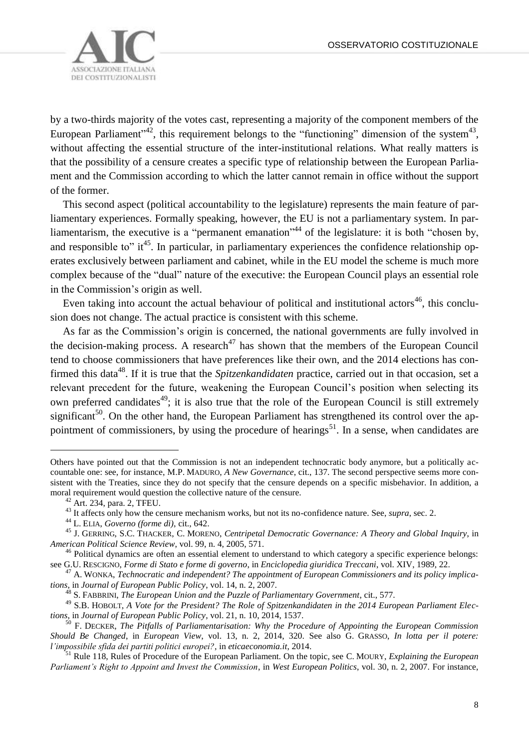

by a two-thirds majority of the votes cast, representing a majority of the component members of the European Parliament<sup> $1,42$ </sup>, this requirement belongs to the "functioning" dimension of the system<sup>43</sup>, without affecting the essential structure of the inter-institutional relations. What really matters is that the possibility of a censure creates a specific type of relationship between the European Parliament and the Commission according to which the latter cannot remain in office without the support of the former.

This second aspect (political accountability to the legislature) represents the main feature of parliamentary experiences. Formally speaking, however, the EU is not a parliamentary system. In parliamentarism, the executive is a "permanent emanation"<sup>44</sup> of the legislature: it is both "chosen by, and responsible to" it<sup>45</sup>. In particular, in parliamentary experiences the confidence relationship operates exclusively between parliament and cabinet, while in the EU model the scheme is much more complex because of the "dual" nature of the executive: the European Council plays an essential role in the Commission's origin as well.

Even taking into account the actual behaviour of political and institutional actors<sup>46</sup>, this conclusion does not change. The actual practice is consistent with this scheme.

As far as the Commission's origin is concerned, the national governments are fully involved in the decision-making process. A research<sup>47</sup> has shown that the members of the European Council tend to choose commissioners that have preferences like their own, and the 2014 elections has confirmed this data<sup>48</sup>. If it is true that the *Spitzenkandidaten* practice, carried out in that occasion, set a relevant precedent for the future, weakening the European Council's position when selecting its own preferred candidates<sup>49</sup>; it is also true that the role of the European Council is still extremely significant<sup>50</sup>. On the other hand, the European Parliament has strengthened its control over the appointment of commissioners, by using the procedure of hearings<sup>51</sup>. In a sense, when candidates are

Others have pointed out that the Commission is not an independent technocratic body anymore, but a politically accountable one: see, for instance, M.P. MADURO, *A New Governance*, cit., 137. The second perspective seems more consistent with the Treaties, since they do not specify that the censure depends on a specific misbehavior. In addition, a moral requirement would question the collective nature of the censure.

<sup>42</sup> Art. 234, para. 2, TFEU.

<sup>&</sup>lt;sup>43</sup> It affects only how the censure mechanism works, but not its no-confidence nature. See, *supra*, sec. 2.

<sup>44</sup> L. ELIA, *Governo (forme di)*, cit., 642.

<sup>45</sup> J. GERRING, S.C. THACKER, C. MORENO, *Centripetal Democratic Governance: A Theory and Global Inquiry*, in *American Political Science Review*, vol. 99, n. 4, 2005, 571.

<sup>&</sup>lt;sup>46</sup> Political dynamics are often an essential element to understand to which category a specific experience belongs: see G.U. RESCIGNO, *Forme di Stato e forme di governo*, in *Enciclopedia giuridica Treccani*, vol. XIV, 1989, 22.

<sup>47</sup> A. WONKA, *Technocratic and independent? The appointment of European Commissioners and its policy implications*, in *Journal of European Public Policy*, vol. 14, n. 2, 2007.

<sup>48</sup> S. FABBRINI, *The European Union and the Puzzle of Parliamentary Government*, cit., 577.

<sup>49</sup> S.B. HOBOLT, *A Vote for the President? The Role of Spitzenkandidaten in the 2014 European Parliament Elections*, in *Journal of European Public Policy*, vol. 21, n. 10, 2014, 1537.

<sup>50</sup> F. DECKER, *The Pitfalls of Parliamentarisation: Why the Procedure of Appointing the European Commission Should Be Changed*, in *European View*, vol. 13, n. 2, 2014, 320. See also G. GRASSO, *In lotta per il potere: l'impossibile sfida dei partiti politici europei?*, in *eticaeconomia.it*, 2014.

<sup>51</sup> Rule 118, Rules of Procedure of the European Parliament. On the topic, see C. MOURY, *Explaining the European Parliament's Right to Appoint and Invest the Commission*, in *West European Politics*, vol. 30, n. 2, 2007. For instance,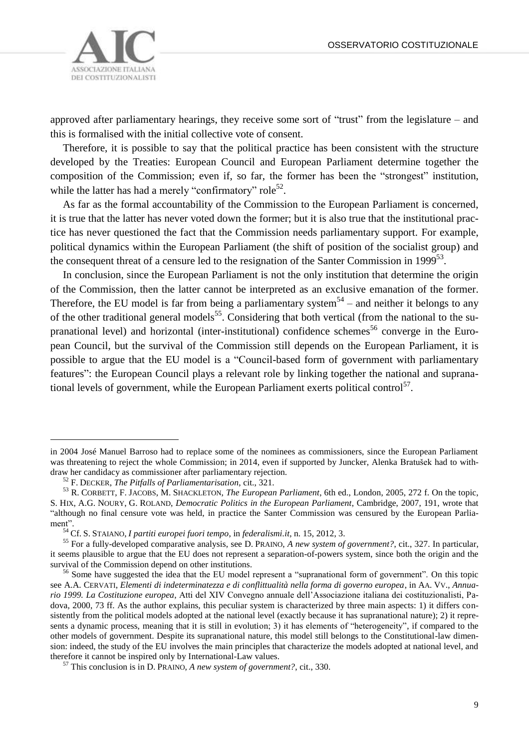

approved after parliamentary hearings, they receive some sort of "trust" from the legislature – and this is formalised with the initial collective vote of consent.

Therefore, it is possible to say that the political practice has been consistent with the structure developed by the Treaties: European Council and European Parliament determine together the composition of the Commission; even if, so far, the former has been the "strongest" institution, while the latter has had a merely "confirmatory" role<sup>52</sup>.

As far as the formal accountability of the Commission to the European Parliament is concerned, it is true that the latter has never voted down the former; but it is also true that the institutional practice has never questioned the fact that the Commission needs parliamentary support. For example, political dynamics within the European Parliament (the shift of position of the socialist group) and the consequent threat of a censure led to the resignation of the Santer Commission in 1999 $^{53}$ .

In conclusion, since the European Parliament is not the only institution that determine the origin of the Commission, then the latter cannot be interpreted as an exclusive emanation of the former. Therefore, the EU model is far from being a parliamentary system<sup>54</sup> – and neither it belongs to any of the other traditional general models<sup>55</sup>. Considering that both vertical (from the national to the supranational level) and horizontal (inter-institutional) confidence schemes<sup>56</sup> converge in the European Council, but the survival of the Commission still depends on the European Parliament, it is possible to argue that the EU model is a "Council-based form of government with parliamentary features": the European Council plays a relevant role by linking together the national and supranational levels of government, while the European Parliament exerts political control<sup>57</sup>.

in 2004 José Manuel Barroso had to replace some of the nominees as commissioners, since the European Parliament was threatening to reject the whole Commission; in 2014, even if supported by Juncker, Alenka Bratušek had to withdraw her candidacy as commissioner after parliamentary rejection.

<sup>52</sup> F. DECKER, *The Pitfalls of Parliamentarisation*, cit., 321.

<sup>53</sup> R. CORBETT, F. JACOBS, M. SHACKLETON, *The European Parliament*, 6th ed., London, 2005, 272 f. On the topic, S. HIX, A.G. NOURY, G. ROLAND, *Democratic Politics in the European Parliament*, Cambridge, 2007, 191, wrote that "although no final censure vote was held, in practice the Santer Commission was censured by the European Parliament".

<sup>54</sup> Cf. S. STAIANO, *I partiti europei fuori tempo*, in *federalismi.it*, n. 15, 2012, 3.

<sup>55</sup> For a fully-developed comparative analysis, see D. PRAINO, *A new system of government?*, cit., 327. In particular, it seems plausible to argue that the EU does not represent a separation-of-powers system, since both the origin and the survival of the Commission depend on other institutions.

<sup>&</sup>lt;sup>56</sup> Some have suggested the idea that the EU model represent a "supranational form of government". On this topic see A.A. CERVATI, *Elementi di indeterminatezza e di conflittualità nella forma di governo europea*, in AA. VV., *Annuario 1999. La Costituzione europea*, Atti del XIV Convegno annuale dell'Associazione italiana dei costituzionalisti, Padova, 2000, 73 ff. As the author explains, this peculiar system is characterized by three main aspects: 1) it differs consistently from the political models adopted at the national level (exactly because it has supranational nature); 2) it represents a dynamic process, meaning that it is still in evolution; 3) it has elements of "heterogeneity", if compared to the other models of government. Despite its supranational nature, this model still belongs to the Constitutional-law dimension: indeed, the study of the EU involves the main principles that characterize the models adopted at national level, and therefore it cannot be inspired only by International-Law values.

<sup>57</sup> This conclusion is in D. PRAINO, *A new system of government?*, cit., 330.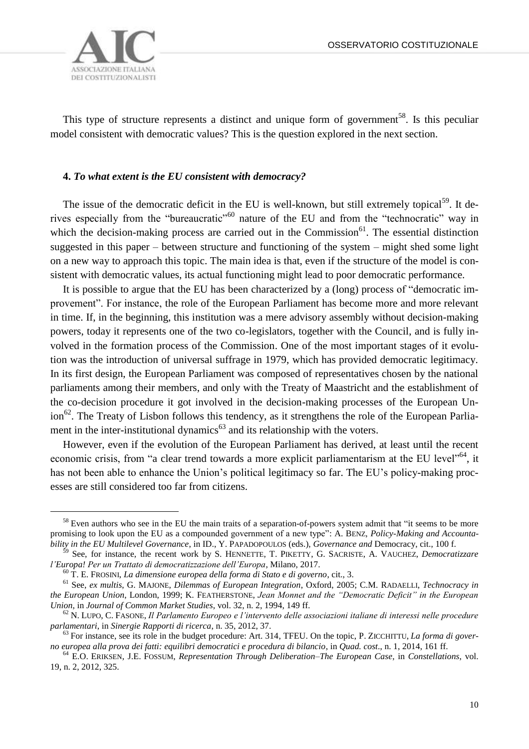OSSERVATORIO COSTITUZIONALE



 $\overline{a}$ 

This type of structure represents a distinct and unique form of government<sup>58</sup>. Is this peculiar model consistent with democratic values? This is the question explored in the next section.

## **4.** *To what extent is the EU consistent with democracy?*

The issue of the democratic deficit in the EU is well-known, but still extremely topical<sup>59</sup>. It derives especially from the "bureaucratic"<sup>60</sup> nature of the EU and from the "technocratic" way in which the decision-making process are carried out in the Commission $^{61}$ . The essential distinction suggested in this paper – between structure and functioning of the system – might shed some light on a new way to approach this topic. The main idea is that, even if the structure of the model is consistent with democratic values, its actual functioning might lead to poor democratic performance.

It is possible to argue that the EU has been characterized by a (long) process of "democratic improvement". For instance, the role of the European Parliament has become more and more relevant in time. If, in the beginning, this institution was a mere advisory assembly without decision-making powers, today it represents one of the two co-legislators, together with the Council, and is fully involved in the formation process of the Commission. One of the most important stages of it evolution was the introduction of universal suffrage in 1979, which has provided democratic legitimacy. In its first design, the European Parliament was composed of representatives chosen by the national parliaments among their members, and only with the Treaty of Maastricht and the establishment of the co-decision procedure it got involved in the decision-making processes of the European Un- $\sin^{62}$ . The Treaty of Lisbon follows this tendency, as it strengthens the role of the European Parliament in the inter-institutional dynamics $^{63}$  and its relationship with the voters.

However, even if the evolution of the European Parliament has derived, at least until the recent economic crisis, from "a clear trend towards a more explicit parliamentarism at the EU level"<sup>64</sup>, it has not been able to enhance the Union's political legitimacy so far. The EU's policy-making processes are still considered too far from citizens.

<sup>&</sup>lt;sup>58</sup> Even authors who see in the EU the main traits of a separation-of-powers system admit that "it seems to be more promising to look upon the EU as a compounded government of a new type": A. BENZ, *Policy-Making and Accountability in the EU Multilevel Governance*, in ID., Y. PAPADOPOULOS (eds.), *Governance and* Democracy, cit., 100 f.

<sup>59</sup> See, for instance, the recent work by S. HENNETTE, T. PIKETTY, G. SACRISTE, A. VAUCHEZ, *Democratizzare l'Europa! Per un Trattato di democratizzazione dell'Europa*, Milano, 2017.

<sup>60</sup> T. E. FROSINI, *La dimensione europea della forma di Stato e di governo*, cit., 3.

<sup>61</sup> See, *ex multis*, G. MAJONE, *Dilemmas of European Integration*, Oxford, 2005; C.M. RADAELLI, *Technocracy in the European Union*, London, 1999; K. FEATHERSTONE, *Jean Monnet and the "Democratic Deficit" in the European Union*, in *Journal of Common Market Studies*, vol. 32, n. 2, 1994, 149 ff.

<sup>62</sup> N. LUPO, C. FASONE, *Il Parlamento Europeo e l'intervento delle associazioni italiane di interessi nelle procedure parlamentari*, in *Sinergie Rapporti di ricerca*, n. 35, 2012, 37.

<sup>63</sup> For instance, see its role in the budget procedure: Art. 314, TFEU. On the topic, P. ZICCHITTU, *La forma di governo europea alla prova dei fatti: equilibri democratici e procedura di bilancio*, in *Quad. cost*., n. 1, 2014, 161 ff.

<sup>64</sup> E.O. ERIKSEN, J.E. FOSSUM, *Representation Through Deliberation–The European Case*, in *Constellations*, vol. 19, n. 2, 2012, 325.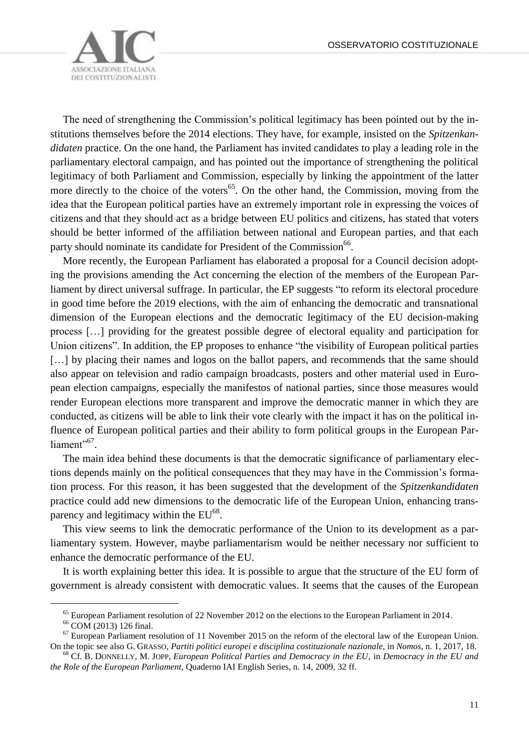

The need of strengthening the Commission's political legitimacy has been pointed out by the institutions themselves before the 2014 elections. They have, for example, insisted on the *Spitzenkandidaten* practice. On the one hand, the Parliament has invited candidates to play a leading role in the parliamentary electoral campaign, and has pointed out the importance of strengthening the political legitimacy of both Parliament and Commission, especially by linking the appointment of the latter more directly to the choice of the voters<sup>65</sup>. On the other hand, the Commission, moving from the idea that the European political parties have an extremely important role in expressing the voices of citizens and that they should act as a bridge between EU politics and citizens, has stated that voters should be better informed of the affiliation between national and European parties, and that each party should nominate its candidate for President of the Commission<sup>66</sup>.

More recently, the European Parliament has elaborated a proposal for a Council decision adopting the provisions amending the Act concerning the election of the members of the European Parliament by direct universal suffrage. In particular, the EP suggests "to reform its electoral procedure in good time before the 2019 elections, with the aim of enhancing the democratic and transnational dimension of the European elections and the democratic legitimacy of the EU decision-making process […] providing for the greatest possible degree of electoral equality and participation for Union citizens". In addition, the EP proposes to enhance "the visibility of European political parties [...] by placing their names and logos on the ballot papers, and recommends that the same should also appear on television and radio campaign broadcasts, posters and other material used in European election campaigns, especially the manifestos of national parties, since those measures would render European elections more transparent and improve the democratic manner in which they are conducted, as citizens will be able to link their vote clearly with the impact it has on the political influence of European political parties and their ability to form political groups in the European Parliament"<sup>67</sup>.

The main idea behind these documents is that the democratic significance of parliamentary elections depends mainly on the political consequences that they may have in the Commission's formation process. For this reason, it has been suggested that the development of the *Spitzenkandidaten* practice could add new dimensions to the democratic life of the European Union, enhancing transparency and legitimacy within the  $EU^{68}$ .

This view seems to link the democratic performance of the Union to its development as a parliamentary system. However, maybe parliamentarism would be neither necessary nor sufficient to enhance the democratic performance of the EU.

It is worth explaining better this idea. It is possible to argue that the structure of the EU form of government is already consistent with democratic values. It seems that the causes of the European

<sup>&</sup>lt;sup>65</sup> European Parliament resolution of 22 November 2012 on the elections to the European Parliament in 2014.

<sup>66</sup> COM (2013) 126 final.

 $67$  European Parliament resolution of 11 November 2015 on the reform of the electoral law of the European Union. On the topic see also G. GRASSO, *Partiti politici europei e disciplina costituzionale nazionale*, in *Nomos*, n. 1, 2017, 18.

<sup>68</sup> Cf. B. DONNELLY, M. JOPP, *European Political Parties and Democracy in the EU*, in *Democracy in the EU and the Role of the European Parliament*, Quaderno IAI English Series, n. 14, 2009, 32 ff.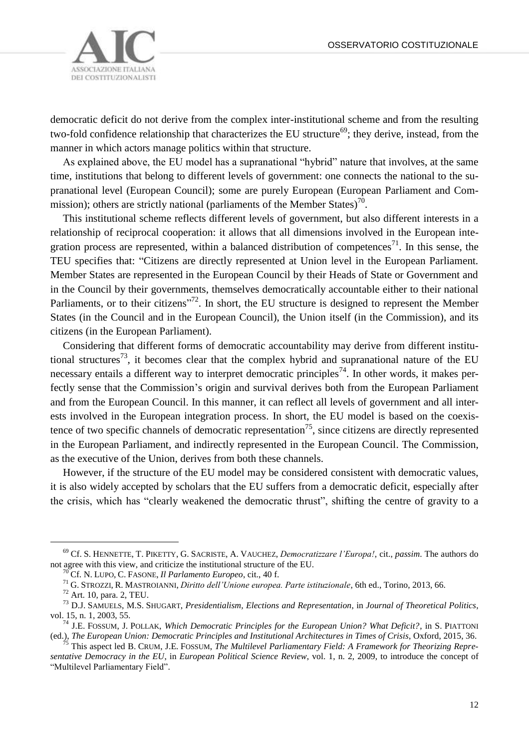

democratic deficit do not derive from the complex inter-institutional scheme and from the resulting two-fold confidence relationship that characterizes the EU structure<sup>69</sup>; they derive, instead, from the manner in which actors manage politics within that structure.

As explained above, the EU model has a supranational "hybrid" nature that involves, at the same time, institutions that belong to different levels of government: one connects the national to the supranational level (European Council); some are purely European (European Parliament and Commission); others are strictly national (parliaments of the Member States)<sup>70</sup>.

This institutional scheme reflects different levels of government, but also different interests in a relationship of reciprocal cooperation: it allows that all dimensions involved in the European integration process are represented, within a balanced distribution of competences<sup>71</sup>. In this sense, the TEU specifies that: "Citizens are directly represented at Union level in the European Parliament. Member States are represented in the European Council by their Heads of State or Government and in the Council by their governments, themselves democratically accountable either to their national Parliaments, or to their citizens"<sup>72</sup>. In short, the EU structure is designed to represent the Member States (in the Council and in the European Council), the Union itself (in the Commission), and its citizens (in the European Parliament).

Considering that different forms of democratic accountability may derive from different institutional structures<sup>73</sup>, it becomes clear that the complex hybrid and supranational nature of the EU necessary entails a different way to interpret democratic principles<sup>74</sup>. In other words, it makes perfectly sense that the Commission's origin and survival derives both from the European Parliament and from the European Council. In this manner, it can reflect all levels of government and all interests involved in the European integration process. In short, the EU model is based on the coexistence of two specific channels of democratic representation<sup>75</sup>, since citizens are directly represented in the European Parliament, and indirectly represented in the European Council. The Commission, as the executive of the Union, derives from both these channels.

However, if the structure of the EU model may be considered consistent with democratic values, it is also widely accepted by scholars that the EU suffers from a democratic deficit, especially after the crisis, which has "clearly weakened the democratic thrust", shifting the centre of gravity to a

<sup>69</sup> Cf. S. HENNETTE, T. PIKETTY, G. SACRISTE, A. VAUCHEZ, *Democratizzare l'Europa!*, cit., *passim*. The authors do not agree with this view, and criticize the institutional structure of the EU.

<sup>70</sup> Cf. N. LUPO, C. FASONE, *Il Parlamento Europeo*, cit., 40 f.

<sup>71</sup> G. STROZZI, R. MASTROIANNI, *Diritto dell'Unione europea. Parte istituzionale*, 6th ed., Torino, 2013, 66.

 $72$  Art. 10, para. 2, TEU.

<sup>73</sup> D.J. SAMUELS, M.S. SHUGART, *Presidentialism, Elections and Representation*, in *Journal of Theoretical Politics*, vol. 15, n. 1, 2003, 55.

<sup>74</sup> J.E. FOSSUM, J. POLLAK, *Which Democratic Principles for the European Union? What Deficit?*, in S. PIATTONI (ed.), *The European Union: Democratic Principles and Institutional Architectures in Times of Crisis*, Oxford, 2015, 36.

<sup>75</sup> This aspect led B. CRUM, J.E. FOSSUM, *The Multilevel Parliamentary Field: A Framework for Theorizing Representative Democracy in the EU*, in *European Political Science Review*, vol. 1, n. 2, 2009, to introduce the concept of "Multilevel Parliamentary Field".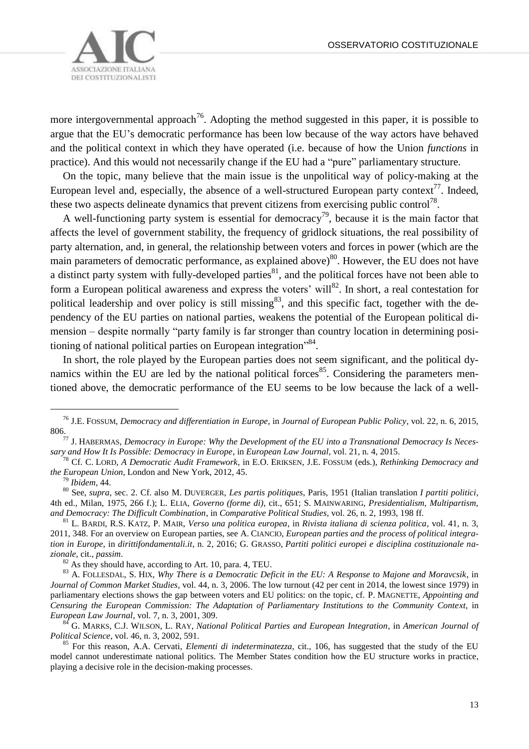

more intergovernmental approach<sup>76</sup>. Adopting the method suggested in this paper, it is possible to argue that the EU's democratic performance has been low because of the way actors have behaved and the political context in which they have operated (i.e. because of how the Union *functions* in practice). And this would not necessarily change if the EU had a "pure" parliamentary structure.

On the topic, many believe that the main issue is the unpolitical way of policy-making at the European level and, especially, the absence of a well-structured European party context<sup>77</sup>. Indeed, these two aspects delineate dynamics that prevent citizens from exercising public control<sup>78</sup>.

A well-functioning party system is essential for democracy<sup>79</sup>, because it is the main factor that affects the level of government stability, the frequency of gridlock situations, the real possibility of party alternation, and, in general, the relationship between voters and forces in power (which are the main parameters of democratic performance, as explained above)<sup>80</sup>. However, the EU does not have a distinct party system with fully-developed parties<sup>81</sup>, and the political forces have not been able to form a European political awareness and express the voters' will<sup>82</sup>. In short, a real contestation for political leadership and over policy is still missing<sup>83</sup>, and this specific fact, together with the dependency of the EU parties on national parties, weakens the potential of the European political dimension – despite normally "party family is far stronger than country location in determining positioning of national political parties on European integration"84.

In short, the role played by the European parties does not seem significant, and the political dynamics within the EU are led by the national political forces<sup>85</sup>. Considering the parameters mentioned above, the democratic performance of the EU seems to be low because the lack of a well-

<sup>76</sup> J.E. FOSSUM, *Democracy and differentiation in Europe*, in *Journal of European Public Policy*, vol. 22, n. 6, 2015, 806.

<sup>77</sup> J. HABERMAS, *Democracy in Europe: Why the Development of the EU into a Transnational Democracy Is Necessary and How It Is Possible: Democracy in Europe*, in *European Law Journal*, vol. 21, n. 4, 2015.

<sup>78</sup> Cf. C. LORD, *A Democratic Audit Framework*, in E.O. ERIKSEN, J.E. FOSSUM (eds.), *Rethinking Democracy and the European Union*, London and New York, 2012, 45.

<sup>79</sup> *Ibidem*, 44.

<sup>80</sup> See, *supra*, sec. 2. Cf. also M. DUVERGER, *Les partis politiques*, Paris, 1951 (Italian translation *I partiti politici*, 4th ed., Milan, 1975, 266 f.); L. ELIA, *Governo (forme di)*, cit., 651; S. MAINWARING, *Presidentialism, Multipartism, and Democracy: The Difficult Combination*, in *Comparative Political Studies*, vol. 26, n. 2, 1993, 198 ff.

<sup>81</sup> L. BARDI, R.S. KATZ, P. MAIR, *Verso una politica europea*, in *Rivista italiana di scienza politica*, vol. 41, n. 3, 2011, 348. For an overview on European parties, see A. CIANCIO, *European parties and the process of political integration in Europe*, in *dirittifondamentali.it*, n. 2, 2016; G. GRASSO, *Partiti politici europei e disciplina costituzionale nazionale*, cit., *passim*.

<sup>&</sup>lt;sup>82</sup> As they should have, according to Art. 10, para. 4, TEU.

<sup>83</sup> A. FOLLESDAL, S. HIX, *Why There is a Democratic Deficit in the EU: A Response to Majone and Moravcsik*, in *Journal of Common Market Studies*, vol. 44, n. 3, 2006. The low turnout (42 per cent in 2014, the lowest since 1979) in parliamentary elections shows the gap between voters and EU politics: on the topic, cf. P. MAGNETTE, *Appointing and Censuring the European Commission: The Adaptation of Parliamentary Institutions to the Community Context*, in *European Law Journal*, vol. 7, n. 3, 2001, 309.

<sup>84</sup> G. MARKS, C.J. WILSON, L. RAY, *National Political Parties and European Integration*, in *American Journal of Political Science*, vol. 46, n. 3, 2002, 591.

<sup>85</sup> For this reason, A.A. Cervati, *Elementi di indeterminatezza*, cit., 106, has suggested that the study of the EU model cannot underestimate national politics. The Member States condition how the EU structure works in practice, playing a decisive role in the decision-making processes.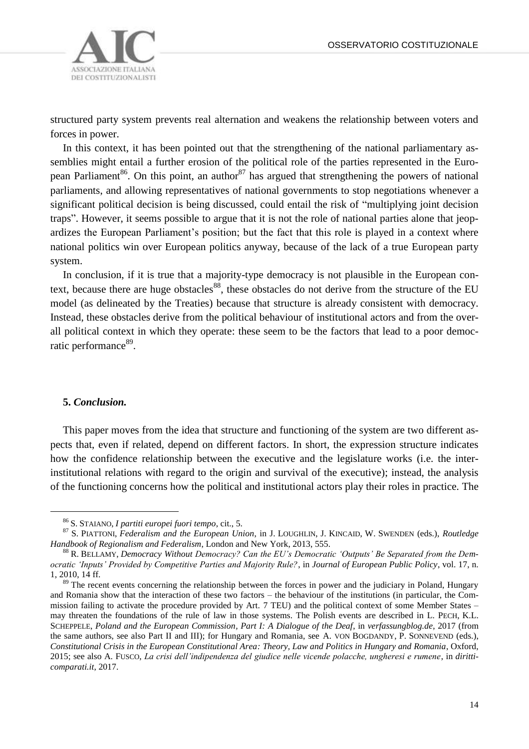

structured party system prevents real alternation and weakens the relationship between voters and forces in power.

In this context, it has been pointed out that the strengthening of the national parliamentary assemblies might entail a further erosion of the political role of the parties represented in the European Parliament<sup>86</sup>. On this point, an author<sup>87</sup> has argued that strengthening the powers of national parliaments, and allowing representatives of national governments to stop negotiations whenever a significant political decision is being discussed, could entail the risk of "multiplying joint decision traps". However, it seems possible to argue that it is not the role of national parties alone that jeopardizes the European Parliament's position; but the fact that this role is played in a context where national politics win over European politics anyway, because of the lack of a true European party system.

In conclusion, if it is true that a majority-type democracy is not plausible in the European context, because there are huge obstacles<sup>88</sup>, these obstacles do not derive from the structure of the EU model (as delineated by the Treaties) because that structure is already consistent with democracy. Instead, these obstacles derive from the political behaviour of institutional actors and from the overall political context in which they operate: these seem to be the factors that lead to a poor democratic performance<sup>89</sup>.

### **5.** *Conclusion.*

 $\overline{a}$ 

This paper moves from the idea that structure and functioning of the system are two different aspects that, even if related, depend on different factors. In short, the expression structure indicates how the confidence relationship between the executive and the legislature works (i.e. the interinstitutional relations with regard to the origin and survival of the executive); instead, the analysis of the functioning concerns how the political and institutional actors play their roles in practice. The

<sup>86</sup> S. STAIANO, *I partiti europei fuori tempo*, cit., 5.

<sup>87</sup> S. PIATTONI, *Federalism and the European Union*, in J. LOUGHLIN, J. KINCAID, W. SWENDEN (eds.), *Routledge Handbook of Regionalism and Federalism*, London and New York, 2013, 555.

<sup>88</sup> R. BELLAMY, *Democracy Without Democracy? Can the EU's Democratic 'Outputs' Be Separated from the Democratic 'Inputs' Provided by Competitive Parties and Majority Rule?*, in *Journal of European Public Policy*, vol. 17, n. 1, 2010, 14 ff.

<sup>&</sup>lt;sup>89</sup> The recent events concerning the relationship between the forces in power and the judiciary in Poland, Hungary and Romania show that the interaction of these two factors – the behaviour of the institutions (in particular, the Commission failing to activate the procedure provided by Art. 7 TEU) and the political context of some Member States – may threaten the foundations of the rule of law in those systems. The Polish events are described in L. PECH, K.L. SCHEPPELE, *Poland and the European Commission, Part I: A Dialogue of the Deaf*, in *verfassungblog.de*, 2017 (from the same authors, see also Part II and III); for Hungary and Romania, see A. VON BOGDANDY, P. SONNEVEND (eds.), *Constitutional Crisis in the European Constitutional Area: Theory, Law and Politics in Hungary and Romania*, Oxford, 2015; see also A. FUSCO, *La crisi dell'indipendenza del giudice nelle vicende polacche, ungheresi e rumene*, in *diritticomparati.it*, 2017.